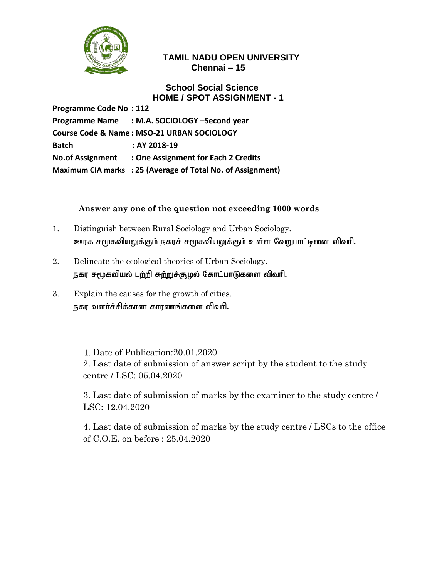

## **School Social Science HOME / SPOT ASSIGNMENT - 1**

**Programme Code No : 112 Programme Name : M.A. SOCIOLOGY –Second year Course Code & Name : MSO-21 URBAN SOCIOLOGY Batch : AY 2018-19 No.of Assignment : One Assignment for Each 2 Credits Maximum CIA marks : 25 (Average of Total No. of Assignment)**

## **Answer any one of the question not exceeding 1000 words**

- 1. Distinguish between Rural Sociology and Urban Sociology. ஊரக சமூகவியலுக்கும் நகரச் சமூகவியலுக்கும் உள்ள வேறுபாட்டினை விவரி.
- 2. Delineate the ecological theories of Urban Sociology. நகர சமூகவியல் பற்றி சுற்றுச்சூழல் கோட்பாடுகளை விவரி.
- 3. Explain the causes for the growth of cities. நகர வளர்ச்சிக்கான காரணங்களை விவரி.

Date of Publication:20.01.2020

2. Last date of submission of answer script by the student to the study centre / LSC: 05.04.2020

3. Last date of submission of marks by the examiner to the study centre / LSC: 12.04.2020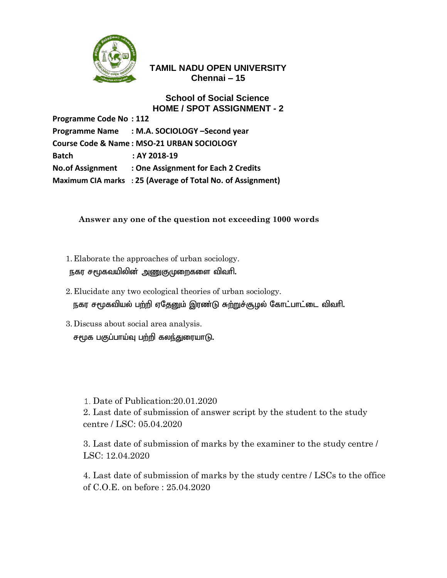

#### **School of Social Science HOME / SPOT ASSIGNMENT - 2**

**Programme Code No : 112 Programme Name : M.A. SOCIOLOGY –Second year Course Code & Name : MSO-21 URBAN SOCIOLOGY Batch : AY 2018-19 No.of Assignment : One Assignment for Each 2 Credits Maximum CIA marks : 25 (Average of Total No. of Assignment)**

## **Answer any one of the question not exceeding 1000 words**

- 1. Elaborate the approaches of urban sociology. நகர சமூகவயிலின் அணுகுமுறைகளை விவரி.
- 2. Elucidate any two ecological theories of urban sociology. நகர சமூகவியல் பற்றி ஏதேனும் இரண்டு சுற்றுச்சூழல் கோட்பாட்டை விவரி.
- 3. Discuss about social area analysis. சமூக பகுப்பாய்வு பற்றி கலந்துரையாடு.

Date of Publication:20.01.2020

2. Last date of submission of answer script by the student to the study centre / LSC: 05.04.2020

3. Last date of submission of marks by the examiner to the study centre / LSC: 12.04.2020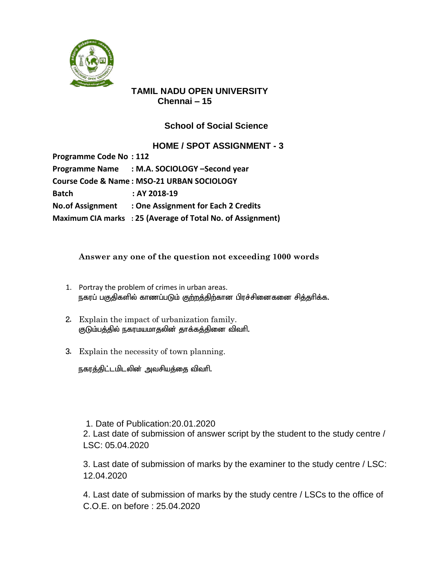

# **School of Social Science**

**HOME / SPOT ASSIGNMENT - 3**

| <b>Programme Code No: 112</b> |                                                             |
|-------------------------------|-------------------------------------------------------------|
|                               | Programme Name : M.A. SOCIOLOGY -Second year                |
|                               | Course Code & Name: MSO-21 URBAN SOCIOLOGY                  |
| <b>Batch</b>                  | : AY 2018-19                                                |
|                               | No. of Assignment : One Assignment for Each 2 Credits       |
|                               | Maximum CIA marks : 25 (Average of Total No. of Assignment) |

### **Answer any one of the question not exceeding 1000 words**

- 1. Portray the problem of crimes in urban areas. நகரப் பகுதிகளில் காணப்படும் குற்றத்திற்கான பிரச்சினைகனை சித்தரிக்க.
- 2. Explain the impact of urbanization family. குடும்பத்தில் நகரமயமாதலின் தாக்க<u>க்</u>தினை விவரி.
- 3. Explain the necessity of town planning.

நகரத்திட்டமிடலின் அவசியத்தை விவரி.

1. Date of Publication:20.01.2020

2. Last date of submission of answer script by the student to the study centre / LSC: 05.04.2020

3. Last date of submission of marks by the examiner to the study centre / LSC: 12.04.2020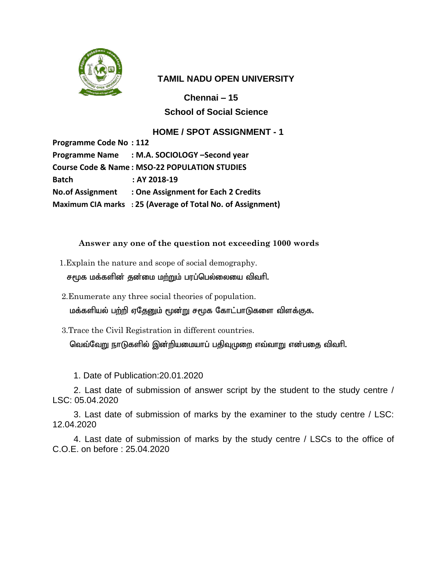

**Chennai – 15 School of Social Science**

#### **HOME / SPOT ASSIGNMENT - 1**

| <b>Programme Code No: 112</b>                            |                                                             |  |
|----------------------------------------------------------|-------------------------------------------------------------|--|
|                                                          | Programme Name : M.A. SOCIOLOGY -Second year                |  |
| <b>Course Code &amp; Name: MSO-22 POPULATION STUDIES</b> |                                                             |  |
| <b>Batch</b>                                             | : AY 2018-19                                                |  |
|                                                          | No. of Assignment : One Assignment for Each 2 Credits       |  |
|                                                          | Maximum CIA marks : 25 (Average of Total No. of Assignment) |  |

#### **Answer any one of the question not exceeding 1000 words**

1.Explain the nature and scope of social demography.

சமூக மக்களின் தன்மை மற்றும் பரப்பெல்லையை விவரி.

2.Enumerate any three social theories of population.

மக்களியல் பற்றி ஏதேனும் மூன்று சமூக கோட்பாடுகளை விளக்குக.

3.Trace the Civil Registration in different countries.

வெவ்வேறு நாடுகளில் இன்றியமையாப் பதிவுமுறை எவ்வாறு என்பதை விவரி.

1. Date of Publication:20.01.2020

2. Last date of submission of answer script by the student to the study centre / LSC: 05.04.2020

3. Last date of submission of marks by the examiner to the study centre / LSC: 12.04.2020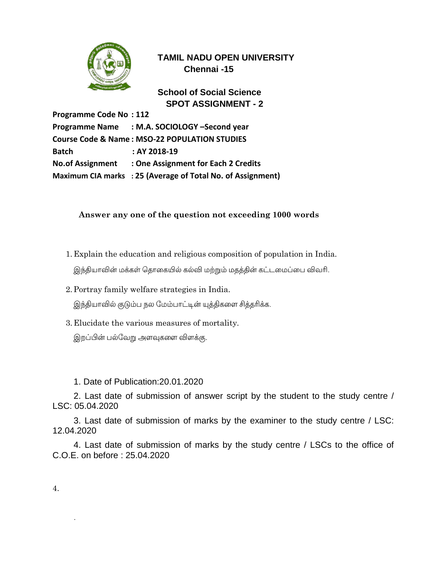

**School of Social Science SPOT ASSIGNMENT - 2**

**Programme Code No : 112 Programme Name : M.A. SOCIOLOGY –Second year Course Code & Name : MSO-22 POPULATION STUDIES Batch : AY 2018-19 No.of Assignment : One Assignment for Each 2 Credits Maximum CIA marks : 25 (Average of Total No. of Assignment)**

#### **Answer any one of the question not exceeding 1000 words**

- 1. Explain the education and religious composition of population in India. இந்தியாவின் மக்கள் தொகையில் கல்வி மற்றும் மதக்தின் கட்டமைப்பை விவரி.
- 2.Portray family welfare strategies in India. இந்தியாவில் குடும்ப நல மேம்பாட்டின் யுத்திகளை சித்தரிக்க.
- 3. Elucidate the various measures of mortality. இறப்பின் பல்வேறு அளவுகளை விளக்கு.
	- 1. Date of Publication:20.01.2020

2. Last date of submission of answer script by the student to the study centre / LSC: 05.04.2020

3. Last date of submission of marks by the examiner to the study centre / LSC: 12.04.2020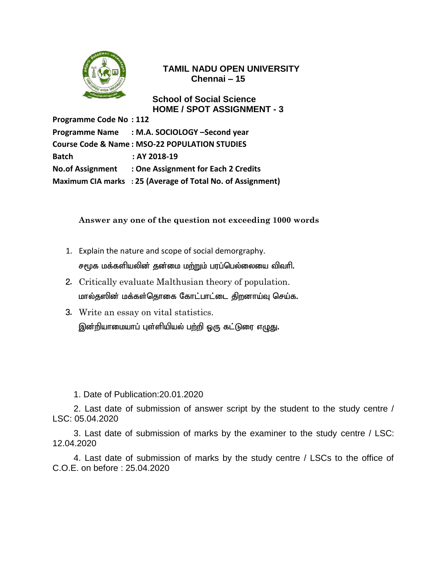

**School of Social Science HOME / SPOT ASSIGNMENT - 3**

**Programme Code No : 112 Programme Name : M.A. SOCIOLOGY –Second year Course Code & Name : MSO-22 POPULATION STUDIES Batch : AY 2018-19 No.of Assignment : One Assignment for Each 2 Credits Maximum CIA marks : 25 (Average of Total No. of Assignment)**

#### **Answer any one of the question not exceeding 1000 words**

- 1. Explain the nature and scope of social demorgraphy. சமூக மக்களியலின் குன்மை மற்றும் பரப்பெல்லையை விவரி.
- 2. Critically evaluate Malthusian theory of population. மால்தஸின் மக்கள்தொகை கோட்பாட்டை திறனாய்வு செய்க.
- 3. Write an essay on vital statistics. இன்றியாமையாப் புள்ளியியல் பற்றி ஒரு கட்டுரை எழுது.

1. Date of Publication:20.01.2020

2. Last date of submission of answer script by the student to the study centre / LSC: 05.04.2020

3. Last date of submission of marks by the examiner to the study centre / LSC: 12.04.2020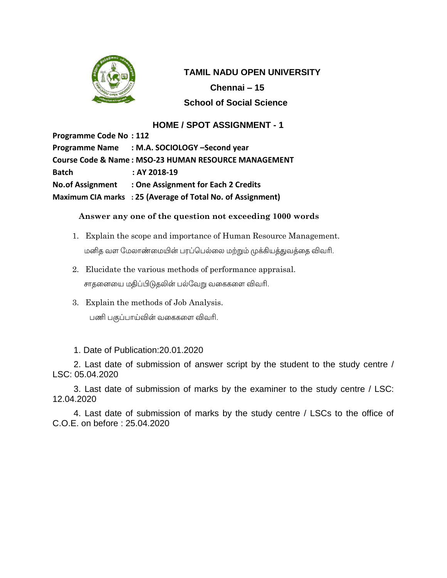

 **TAMIL NADU OPEN UNIVERSITY Chennai – 15 School of Social Science**

# **HOME / SPOT ASSIGNMENT - 1**

**Programme Code No : 112 Programme Name : M.A. SOCIOLOGY –Second year Course Code & Name : MSO-23 HUMAN RESOURCE MANAGEMENT Batch : AY 2018-19 No.of Assignment : One Assignment for Each 2 Credits Maximum CIA marks : 25 (Average of Total No. of Assignment)**

#### **Answer any one of the question not exceeding 1000 words**

- 1. Explain the scope and importance of Human Resource Management. மனித வள மேலாண்மையின் பரப்பெல்லை மற்றும் முக்கியத்துவத்தை விவரி.
- 2. Elucidate the various methods of performance appraisal. சாதனையை மதிப்பிடுதலின் பல்வேறு வகைகளை விவரி.
- 3. Explain the methods of Job Analysis. பணி பகுப்பாய்வின் வகைகளை விவரி.

1. Date of Publication:20.01.2020

2. Last date of submission of answer script by the student to the study centre / LSC: 05.04.2020

3. Last date of submission of marks by the examiner to the study centre / LSC: 12.04.2020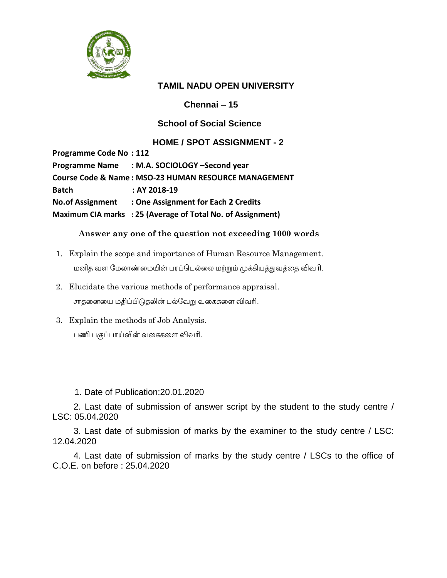

**Chennai – 15**

## **School of Social Science**

## **HOME / SPOT ASSIGNMENT - 2**

**Programme Code No : 112 Programme Name : M.A. SOCIOLOGY –Second year Course Code & Name : MSO-23 HUMAN RESOURCE MANAGEMENT Batch : AY 2018-19 No.of Assignment : One Assignment for Each 2 Credits Maximum CIA marks : 25 (Average of Total No. of Assignment)**

#### **Answer any one of the question not exceeding 1000 words**

- 1. Explain the scope and importance of Human Resource Management. மனித வள மேலாண்மையின் பரப்பெல்லை மற்றும் முக்கியத்துவத்தை விவரி.
- 2. Elucidate the various methods of performance appraisal. சாதனையை மதிப்பிடுதலின் பல்வேறு வகைகளை விவரி.
- 3. Explain the methods of Job Analysis. பணி பகுப்பாய்வின் வகைகளை விவரி.

#### 1. Date of Publication:20.01.2020

2. Last date of submission of answer script by the student to the study centre / LSC: 05.04.2020

3. Last date of submission of marks by the examiner to the study centre / LSC: 12.04.2020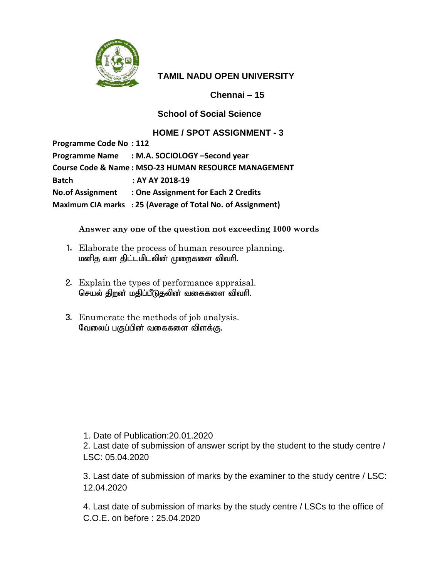

**Chennai – 15**

## **School of Social Science**

## **HOME / SPOT ASSIGNMENT - 3**

**Programme Code No : 112 Programme Name : M.A. SOCIOLOGY –Second year Course Code & Name : MSO-23 HUMAN RESOURCE MANAGEMENT Batch : AY AY 2018-19 No.of Assignment : One Assignment for Each 2 Credits Maximum CIA marks : 25 (Average of Total No. of Assignment)**

**Answer any one of the question not exceeding 1000 words**

- 1. Elaborate the process of human resource planning. மனித வள திட்டமிடலின் முறைகளை விவரி.
- 2. Explain the types of performance appraisal. செயல் திறன் மதிப்பீடுதலின் வகைகளை விவரி.
- 3. Enumerate the methods of job analysis. வேலைப் பகுப்பின் வகைகளை விளக்கு.

1. Date of Publication:20.01.2020

2. Last date of submission of answer script by the student to the study centre / LSC: 05.04.2020

3. Last date of submission of marks by the examiner to the study centre / LSC: 12.04.2020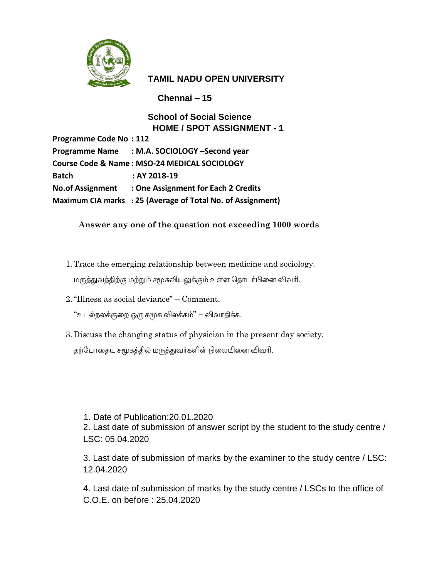

**Chennai – 15**

# **School of Social Science HOME / SPOT ASSIGNMENT - 1**

**Programme Code No : 112 Programme Name : M.A. SOCIOLOGY –Second year Course Code & Name : MSO-24 MEDICAL SOCIOLOGY Batch : AY 2018-19 No.of Assignment : One Assignment for Each 2 Credits Maximum CIA marks : 25 (Average of Total No. of Assignment)**

# **Answer any one of the question not exceeding 1000 words**

1.Trace the emerging relationship between medicine and sociology.

மருத்துவத்திற்கு மற்றும் சமூகவியலுக்கும் உள்ள தொடர்பினை விவரி.

2."Illness as social deviance" – Comment.

"உடல்நலக்குறை ஒரு சமூக விலக்கம்" – விவாதிக்க.

3. Discuss the changing status of physician in the present day society.

தற்போதைய சமூகத்தில் மருத்துவர்களின் நிலையினை விவரி.

#### 1. Date of Publication:20.01.2020

2. Last date of submission of answer script by the student to the study centre / LSC: 05.04.2020

3. Last date of submission of marks by the examiner to the study centre / LSC: 12.04.2020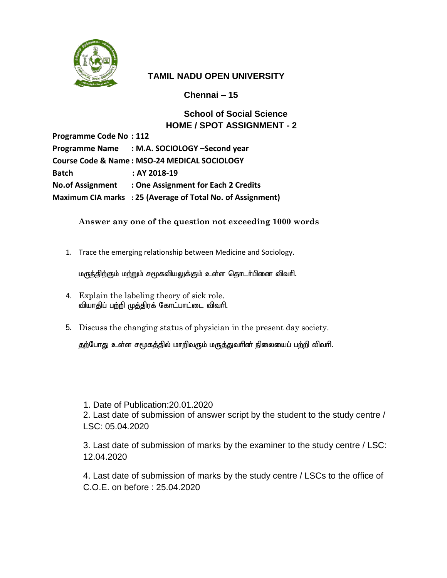

**Chennai – 15**

# **School of Social Science HOME / SPOT ASSIGNMENT - 2**

**Programme Code No : 112 Programme Name : M.A. SOCIOLOGY –Second year Course Code & Name : MSO-24 MEDICAL SOCIOLOGY Batch : AY 2018-19 No.of Assignment : One Assignment for Each 2 Credits Maximum CIA marks : 25 (Average of Total No. of Assignment)**

### **Answer any one of the question not exceeding 1000 words**

1. Trace the emerging relationship between Medicine and Sociology.

மருந்திற்கும் மற்றும் சமூகவியலுக்கும் உள்ள தொடா்பினை விவாி.

- 4. Explain the labeling theory of sick role. வியாதிப் பற்றி முத்திரக் கோட்பாட்டை விவரி.
- 5. Discuss the changing status of physician in the present day society.

தற்போது உள்ள சமூகத்தில் மாறிவரும் மருத்துவரின் நிலையைப் பற்றி விவரி.

#### 1. Date of Publication:20.01.2020

2. Last date of submission of answer script by the student to the study centre / LSC: 05.04.2020

3. Last date of submission of marks by the examiner to the study centre / LSC: 12.04.2020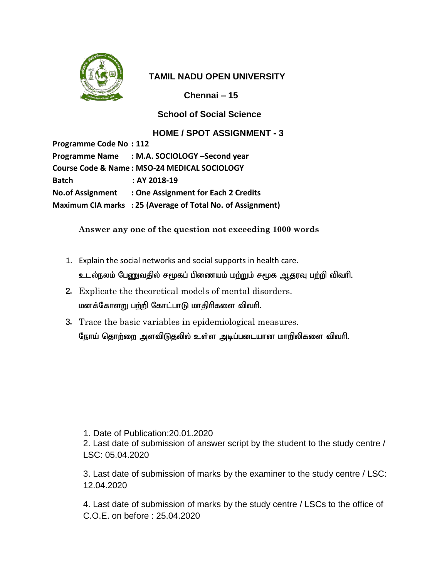

**Chennai – 15**

### **School of Social Science**

### **HOME / SPOT ASSIGNMENT - 3**

| <b>Programme Code No: 112</b>                |                                                             |  |
|----------------------------------------------|-------------------------------------------------------------|--|
|                                              | Programme Name : M.A. SOCIOLOGY -Second year                |  |
| Course Code & Name: MSO-24 MEDICAL SOCIOLOGY |                                                             |  |
| <b>Batch</b>                                 | : AY 2018-19                                                |  |
|                                              | No. of Assignment : One Assignment for Each 2 Credits       |  |
|                                              | Maximum CIA marks : 25 (Average of Total No. of Assignment) |  |

#### **Answer any one of the question not exceeding 1000 words**

- 1. Explain the social networks and social supports in health care.
	- உடல்நலம் பேணுவதில் சமூகப் பிணையம் மற்றும் சமூக ஆதரவு பற்றி விவரி.
- 2. Explicate the theoretical models of mental disorders. மனக்கோளறு பற்றி கோட்பாடு மாதிரிகளை விவரி.
- 3. Trace the basic variables in epidemiological measures. நோய் தொற்றை அளவிடுதலில் உள்ள அடிப்படையான மாறிலிகளை விவரி.

1. Date of Publication:20.01.2020

2. Last date of submission of answer script by the student to the study centre / LSC: 05.04.2020

3. Last date of submission of marks by the examiner to the study centre / LSC: 12.04.2020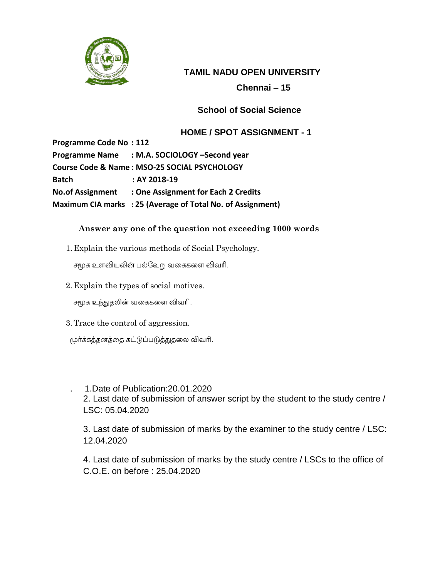

# **Chennai – 15**

# **School of Social Science**

# **HOME / SPOT ASSIGNMENT - 1**

**Programme Code No : 112 Programme Name : M.A. SOCIOLOGY –Second year Course Code & Name : MSO-25 SOCIAL PSYCHOLOGY Batch : AY 2018-19 No.of Assignment : One Assignment for Each 2 Credits Maximum CIA marks : 25 (Average of Total No. of Assignment)**

### **Answer any one of the question not exceeding 1000 words**

1. Explain the various methods of Social Psychology.

சமூக உளவியலின் பல்வேறு வகைகளை விவரி.

2. Explain the types of social motives.

சமூக உந்துதலின் வகைகளை விவரி.

- 3.Trace the control of aggression.
- மூர்க்கத்தனத்தை கட்டுப்படுத்துதலை விவரி.
	- . 1.Date of Publication:20.01.2020 2. Last date of submission of answer script by the student to the study centre / LSC: 05.04.2020
		- 3. Last date of submission of marks by the examiner to the study centre / LSC: 12.04.2020
		- 4. Last date of submission of marks by the study centre / LSCs to the office of C.O.E. on before : 25.04.2020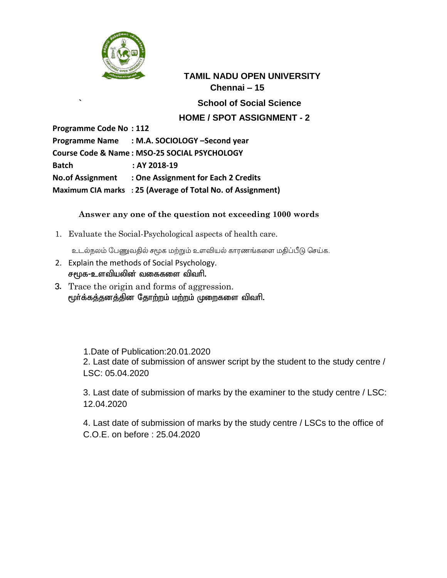

**` School of Social Science**

## **HOME / SPOT ASSIGNMENT - 2**

**Programme Code No : 112**

**Programme Name : M.A. SOCIOLOGY –Second year Course Code & Name : MSO-25 SOCIAL PSYCHOLOGY Batch : AY 2018-19 No.of Assignment : One Assignment for Each 2 Credits Maximum CIA marks : 25 (Average of Total No. of Assignment)**

### **Answer any one of the question not exceeding 1000 words**

1. Evaluate the Social-Psychological aspects of health care.

உடல்நலம் பேணுவதில் சமூக மற்றும் உளவியல் காரணங்களை மதிப்பீடு செய்க.

- 2. Explain the methods of Social Psychology. சமூக-உளவியலின் வகைகளை விவரி.
- 3. Trace the origin and forms of aggression. மூர்க்கத்தனத்தின தோற்றம் மற்றம் முறைகளை விவரி.

 1.Date of Publication:20.01.2020 2. Last date of submission of answer script by the student to the study centre / LSC: 05.04.2020

3. Last date of submission of marks by the examiner to the study centre / LSC: 12.04.2020